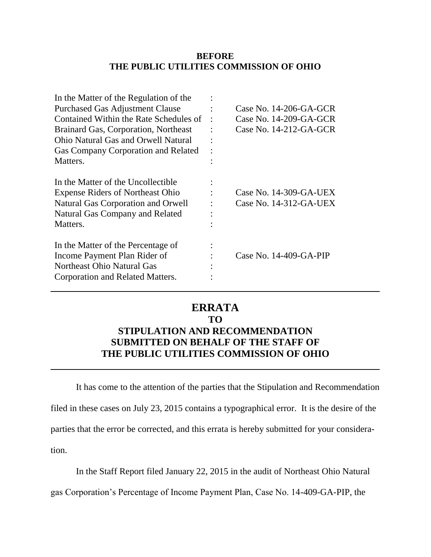#### **BEFORE THE PUBLIC UTILITIES COMMISSION OF OHIO**

| In the Matter of the Regulation of the     |                          |
|--------------------------------------------|--------------------------|
| <b>Purchased Gas Adjustment Clause</b>     | Case No. $14-206-GA-GCR$ |
| Contained Within the Rate Schedules of     | Case No. $14-209-GA-GCR$ |
| Brainard Gas, Corporation, Northeast       | Case No. 14-212-GA-GCR   |
| <b>Ohio Natural Gas and Orwell Natural</b> |                          |
| Gas Company Corporation and Related        |                          |
| Matters.                                   |                          |
| In the Matter of the Uncollectible         |                          |
| <b>Expense Riders of Northeast Ohio</b>    | Case No. 14-309-GA-UEX   |
| Natural Gas Corporation and Orwell         | Case No. 14-312-GA-UEX   |
| Natural Gas Company and Related            |                          |
| Matters.                                   |                          |
| In the Matter of the Percentage of         |                          |
| Income Payment Plan Rider of               | Case No. 14-409-GA-PIP   |
| Northeast Ohio Natural Gas                 |                          |
| Corporation and Related Matters.           |                          |
|                                            |                          |

## **ERRATA**

### **TO**

# **STIPULATION AND RECOMMENDATION SUBMITTED ON BEHALF OF THE STAFF OF THE PUBLIC UTILITIES COMMISSION OF OHIO**

It has come to the attention of the parties that the Stipulation and Recommendation filed in these cases on July 23, 2015 contains a typographical error. It is the desire of the parties that the error be corrected, and this errata is hereby submitted for your consideration.

In the Staff Report filed January 22, 2015 in the audit of Northeast Ohio Natural

gas Corporation's Percentage of Income Payment Plan, Case No. 14-409-GA-PIP, the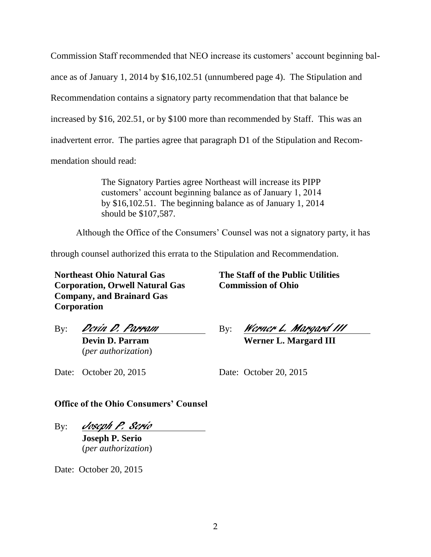Commission Staff recommended that NEO increase its customers' account beginning balance as of January 1, 2014 by \$16,102.51 (unnumbered page 4). The Stipulation and Recommendation contains a signatory party recommendation that that balance be increased by \$16, 202.51, or by \$100 more than recommended by Staff. This was an inadvertent error. The parties agree that paragraph D1 of the Stipulation and Recommendation should read:

> The Signatory Parties agree Northeast will increase its PIPP customers' account beginning balance as of January 1, 2014 by \$16,102.51. The beginning balance as of January 1, 2014 should be \$107,587.

Although the Office of the Consumers' Counsel was not a signatory party, it has

through counsel authorized this errata to the Stipulation and Recommendation.

**Northeast Ohio Natural Gas Corporation, Orwell Natural Gas Company, and Brainard Gas Corporation**

**The Staff of the Public Utilities Commission of Ohio**

By: Werner L. Margard III

By: *Devin D. Parram* 

**Devin D. Parram** (*per authorization*) **Werner L. Margard III**

Date: October 20, 2015

Date: October 20, 2015

**Office of the Ohio Consumers' Counsel**

By: Joseph P. Serio

**Joseph P. Serio** (*per authorization*)

Date: October 20, 2015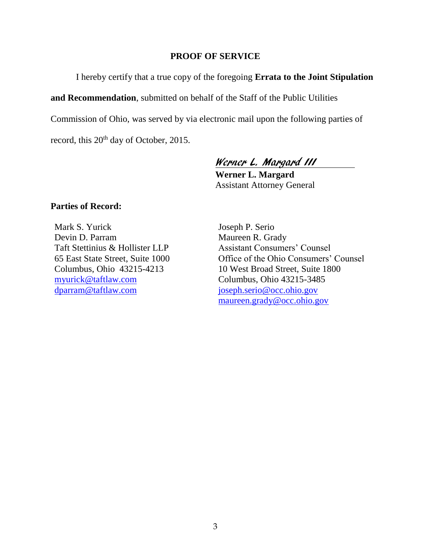#### **PROOF OF SERVICE**

I hereby certify that a true copy of the foregoing **Errata to the Joint Stipulation** 

**and Recommendation**, submitted on behalf of the Staff of the Public Utilities

Commission of Ohio, was served by via electronic mail upon the following parties of

record, this 20<sup>th</sup> day of October, 2015.

## Werner L. Margard III

**Werner L. Margard** Assistant Attorney General

#### **Parties of Record:**

Mark S. Yurick Devin D. Parram Taft Stettinius & Hollister LLP 65 East State Street, Suite 1000 Columbus, Ohio 43215-4213 [myurick@taftlaw.com](mailto:myurick@taftlaw.com) [dparram@taftlaw.com](mailto:dparram@taftlaw.com)

Joseph P. Serio Maureen R. Grady Assistant Consumers' Counsel Office of the Ohio Consumers' Counsel 10 West Broad Street, Suite 1800 Columbus, Ohio 43215-3485 [joseph.serio@occ.ohio.gov](mailto:joseph.serio@occ.ohio.gov) [maureen.grady@occ.ohio.gov](mailto:maureen.grady@occ.ohio.gov)